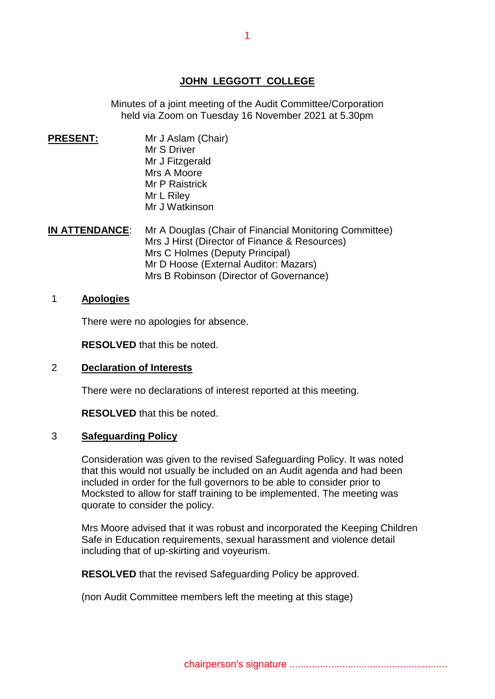# **JOHN LEGGOTT COLLEGE**

Minutes of a joint meeting of the Audit Committee/Corporation held via Zoom on Tuesday 16 November 2021 at 5.30pm

- **PRESENT: PRESENT:** Mr J Aslam(Chair) Mr S Driver Mr J Fitzgerald Mrs A Moore Mr P Raistrick Mr L Riley Mr J Watkinson
- **IN ATTENDANCE:** Mr A Douglas (Chair of Financial Monitoring Committee) Mrs J Hirst (Director of Finance & Resources) Mrs C Holmes (Deputy Principal) Mr D Hoose (External Auditor: Mazars) Mrs B Robinson (Director of Governance)

#### 1 **Apologies**

There were no apologies for absence.

**RESOLVED** that this be noted.

#### 2 **Declaration of Interests**

There were no declarations of interest reported at this meeting.

**RESOLVED** that this be noted.

#### 3 **Safeguarding Policy**

Consideration was given to the revised Safeguarding Policy. It was noted that this would not usually be included on an Audit agenda and had been included in order for the full governors to be able to consider prior to Mocksted to allow for staff training to be implemented. The meeting was quorate to consider the policy.

Mrs Moore advised that it was robust and incorporated the Keeping Children Safe in Education requirements, sexual harassment and violence detail including that of up-skirting and voyeurism.

**RESOLVED** that the revised Safeguarding Policy be approved.

(non Audit Committee members left the meeting at this stage)